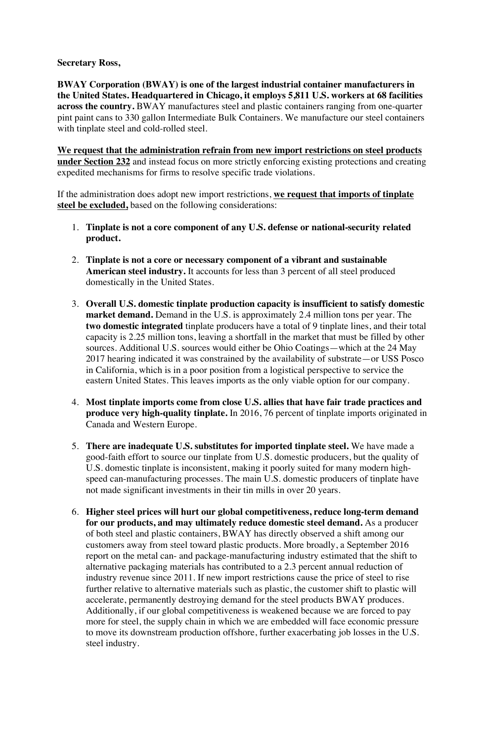## **Secretary Ross,**

**BWAY Corporation (BWAY) is one of the largest industrial container manufacturers in the United States. Headquartered in Chicago, it employs 5,811 U.S. workers at 68 facilities across the country.** BWAY manufactures steel and plastic containers ranging from one-quarter pint paint cans to 330 gallon Intermediate Bulk Containers. We manufacture our steel containers with tinplate steel and cold-rolled steel.

**We request that the administration refrain from new import restrictions on steel products under Section 232** and instead focus on more strictly enforcing existing protections and creating expedited mechanisms for firms to resolve specific trade violations.

If the administration does adopt new import restrictions, **we request that imports of tinplate steel be excluded,** based on the following considerations:

- 1. **Tinplate is not a core component of any U.S. defense or national-security related product.**
- 2. **Tinplate is not a core or necessary component of a vibrant and sustainable American steel industry.** It accounts for less than 3 percent of all steel produced domestically in the United States.
- 3. **Overall U.S. domestic tinplate production capacity is insufficient to satisfy domestic market demand.** Demand in the U.S. is approximately 2.4 million tons per year. The **two domestic integrated** tinplate producers have a total of 9 tinplate lines, and their total capacity is 2.25 million tons, leaving a shortfall in the market that must be filled by other sources. Additional U.S. sources would either be Ohio Coatings—which at the 24 May 2017 hearing indicated it was constrained by the availability of substrate—or USS Posco in California, which is in a poor position from a logistical perspective to service the eastern United States. This leaves imports as the only viable option for our company.
- 4. **Most tinplate imports come from close U.S. allies that have fair trade practices and produce very high-quality tinplate.** In 2016, 76 percent of tinplate imports originated in Canada and Western Europe.
- 5. **There are inadequate U.S. substitutes for imported tinplate steel.** We have made a good-faith effort to source our tinplate from U.S. domestic producers, but the quality of U.S. domestic tinplate is inconsistent, making it poorly suited for many modern highspeed can-manufacturing processes. The main U.S. domestic producers of tinplate have not made significant investments in their tin mills in over 20 years.
- 6. **Higher steel prices will hurt our global competitiveness, reduce long-term demand for our products, and may ultimately reduce domestic steel demand.** As a producer of both steel and plastic containers, BWAY has directly observed a shift among our customers away from steel toward plastic products. More broadly, a September 2016 report on the metal can- and package-manufacturing industry estimated that the shift to alternative packaging materials has contributed to a 2.3 percent annual reduction of industry revenue since 2011. If new import restrictions cause the price of steel to rise further relative to alternative materials such as plastic, the customer shift to plastic will accelerate, permanently destroying demand for the steel products BWAY produces. Additionally, if our global competitiveness is weakened because we are forced to pay more for steel, the supply chain in which we are embedded will face economic pressure to move its downstream production offshore, further exacerbating job losses in the U.S. steel industry.